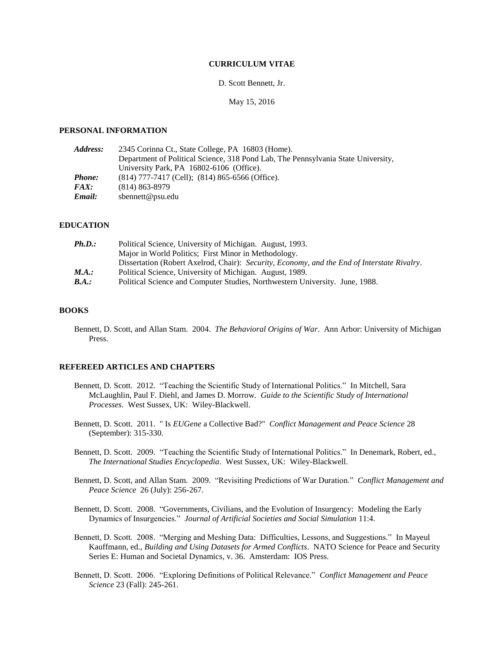# **CURRICULUM VITAE**

### D. Scott Bennett, Jr.

May 15, 2016

#### **PERSONAL INFORMATION**

| <i><b>Address:</b></i> | 2345 Corinna Ct., State College, PA 16803 (Home).                                 |
|------------------------|-----------------------------------------------------------------------------------|
|                        | Department of Political Science, 318 Pond Lab, The Pennsylvania State University, |
|                        | University Park, PA 16802-6106 (Office).                                          |
| Phone:                 | $(814)$ 777-7417 (Cell); $(814)$ 865-6566 (Office).                               |
| <i>FAX:</i>            | $(814) 863 - 8979$                                                                |
| Email:                 | sbennett@psu.edu                                                                  |

#### **EDUCATION**

| Ph.D.:                       | Political Science, University of Michigan. August, 1993.                                    |
|------------------------------|---------------------------------------------------------------------------------------------|
|                              | Major in World Politics; First Minor in Methodology.                                        |
|                              | Dissertation (Robert Axelrod, Chair): Security, Economy, and the End of Interstate Rivalry. |
| M.A.:                        | Political Science, University of Michigan. August, 1989.                                    |
| $\mathbf{\mathit{B}}\!.A.$ : | Political Science and Computer Studies, Northwestern University. June, 1988.                |
|                              |                                                                                             |

#### **BOOKS**

Bennett, D. Scott, and Allan Stam. 2004. *The Behavioral Origins of War*. Ann Arbor: University of Michigan Press.

# **REFEREED ARTICLES AND CHAPTERS**

- Bennett, D. Scott. 2012. "Teaching the Scientific Study of International Politics." In Mitchell, Sara McLaughlin, Paul F. Diehl, and James D. Morrow. *Guide to the Scientific Study of International Processes.* West Sussex, UK: Wiley-Blackwell.
- Bennett, D. Scott. 2011. " Is *EUGene* a Collective Bad?" *Conflict Management and Peace Science* 28 (September): 315-330.
- Bennett, D. Scott. 2009. "Teaching the Scientific Study of International Politics." In Denemark, Robert, ed., *The International Studies Encyclopedia*. West Sussex, UK: Wiley-Blackwell.
- Bennett, D. Scott, and Allan Stam. 2009. "Revisiting Predictions of War Duration." *Conflict Management and Peace Science* 26 (July): 256-267.
- Bennett, D. Scott. 2008. "Governments, Civilians, and the Evolution of Insurgency: Modeling the Early Dynamics of Insurgencies." *Journal of Artificial Societies and Social Simulation* 11:4.
- Bennett, D. Scott. 2008. "Merging and Meshing Data: Difficulties, Lessons, and Suggestions." In Mayeul Kauffmann, ed., *Building and Using Datasets for Armed Conflicts*. NATO Science for Peace and Security Series E: Human and Societal Dynamics, v. 36. Amsterdam: IOS Press.
- Bennett, D. Scott. 2006. "Exploring Definitions of Political Relevance." *Conflict Management and Peace Science* 23 (Fall): 245-261.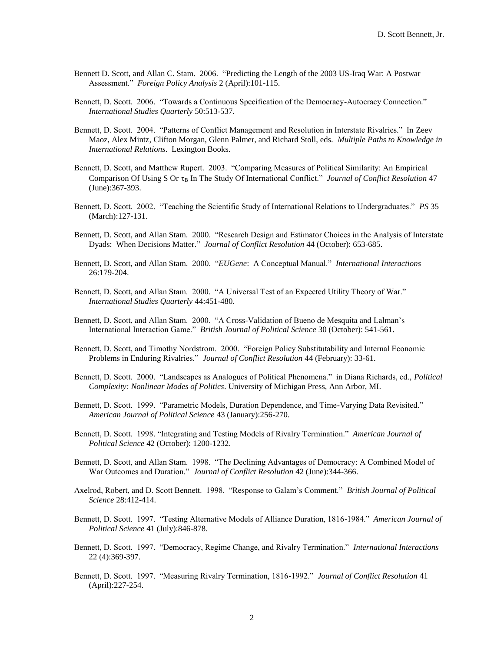- Bennett D. Scott, and Allan C. Stam. 2006. "Predicting the Length of the 2003 US-Iraq War: A Postwar Assessment." *Foreign Policy Analysis* 2 (April):101-115.
- Bennett, D. Scott. 2006. "Towards a Continuous Specification of the Democracy-Autocracy Connection." *International Studies Quarterly* 50:513-537.
- Bennett, D. Scott. 2004. "Patterns of Conflict Management and Resolution in Interstate Rivalries." In Zeev Maoz, Alex Mintz, Clifton Morgan, Glenn Palmer, and Richard Stoll, eds. *Multiple Paths to Knowledge in International Relations*. Lexington Books.
- Bennett, D. Scott, and Matthew Rupert. 2003. "Comparing Measures of Political Similarity: An Empirical Comparison Of Using S Or  $\tau_B$  In The Study Of International Conflict." *Journal of Conflict Resolution* 47 (June):367-393.
- Bennett, D. Scott. 2002. "Teaching the Scientific Study of International Relations to Undergraduates." *PS* 35 (March):127-131.
- Bennett, D. Scott, and Allan Stam. 2000. "Research Design and Estimator Choices in the Analysis of Interstate Dyads: When Decisions Matter." *Journal of Conflict Resolution* 44 (October): 653-685.
- Bennett, D. Scott, and Allan Stam. 2000. "*EUGene*: A Conceptual Manual." *International Interactions* 26:179-204.
- Bennett, D. Scott, and Allan Stam. 2000. "A Universal Test of an Expected Utility Theory of War." *International Studies Quarterly* 44:451-480.
- Bennett, D. Scott, and Allan Stam. 2000. "A Cross-Validation of Bueno de Mesquita and Lalman's International Interaction Game." *British Journal of Political Science* 30 (October): 541-561.
- Bennett, D. Scott, and Timothy Nordstrom. 2000. "Foreign Policy Substitutability and Internal Economic Problems in Enduring Rivalries." *Journal of Conflict Resolution* 44 (February): 33-61.
- Bennett, D. Scott. 2000. "Landscapes as Analogues of Political Phenomena." in Diana Richards, ed., *Political Complexity: Nonlinear Modes of Politics*. University of Michigan Press, Ann Arbor, MI.
- Bennett, D. Scott. 1999. "Parametric Models, Duration Dependence, and Time-Varying Data Revisited." *American Journal of Political Science* 43 (January):256-270.
- Bennett, D. Scott. 1998. "Integrating and Testing Models of Rivalry Termination." *American Journal of Political Science* 42 (October): 1200-1232.
- Bennett, D. Scott, and Allan Stam. 1998. "The Declining Advantages of Democracy: A Combined Model of War Outcomes and Duration." *Journal of Conflict Resolution* 42 (June):344-366.
- Axelrod, Robert, and D. Scott Bennett. 1998. "Response to Galam's Comment." *British Journal of Political Science* 28:412-414.
- Bennett, D. Scott. 1997. "Testing Alternative Models of Alliance Duration, 1816-1984." *American Journal of Political Science* 41 (July):846-878.
- Bennett, D. Scott. 1997. "Democracy, Regime Change, and Rivalry Termination." *International Interactions* 22 (4):369-397.
- Bennett, D. Scott. 1997. "Measuring Rivalry Termination, 1816-1992." *Journal of Conflict Resolution* 41 (April):227-254.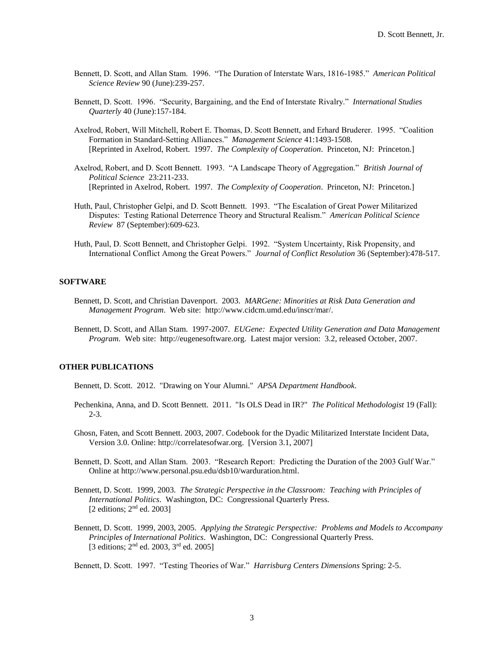- Bennett, D. Scott, and Allan Stam. 1996. "The Duration of Interstate Wars, 1816-1985." *American Political Science Review* 90 (June):239-257.
- Bennett, D. Scott. 1996. "Security, Bargaining, and the End of Interstate Rivalry." *International Studies Quarterly* 40 (June):157-184.
- Axelrod, Robert, Will Mitchell, Robert E. Thomas, D. Scott Bennett, and Erhard Bruderer. 1995. "Coalition Formation in Standard-Setting Alliances." *Management Science* 41:1493-1508. [Reprinted in Axelrod, Robert. 1997. *The Complexity of Cooperation*. Princeton, NJ: Princeton.]
- Axelrod, Robert, and D. Scott Bennett. 1993. "A Landscape Theory of Aggregation." *British Journal of Political Science* 23:211-233. [Reprinted in Axelrod, Robert. 1997. *The Complexity of Cooperation*. Princeton, NJ: Princeton.]
- Huth, Paul, Christopher Gelpi, and D. Scott Bennett. 1993. "The Escalation of Great Power Militarized Disputes: Testing Rational Deterrence Theory and Structural Realism." *American Political Science Review* 87 (September):609-623.
- Huth, Paul, D. Scott Bennett, and Christopher Gelpi. 1992. "System Uncertainty, Risk Propensity, and International Conflict Among the Great Powers." *Journal of Conflict Resolution* 36 (September):478-517.

# **SOFTWARE**

- Bennett, D. Scott, and Christian Davenport. 2003. *MARGene: Minorities at Risk Data Generation and Management Program*. Web site: http://www.cidcm.umd.edu/inscr/mar/.
- Bennett, D. Scott, and Allan Stam. 1997-2007. *EUGene: Expected Utility Generation and Data Management Program*. Web site: http://eugenesoftware.org. Latest major version: 3.2, released October, 2007.

### **OTHER PUBLICATIONS**

Bennett, D. Scott. 2012. "Drawing on Your Alumni." *APSA Department Handbook*.

- Pechenkina, Anna, and D. Scott Bennett. 2011. "Is OLS Dead in IR?" *The Political Methodologist* 19 (Fall): 2-3.
- Ghosn, Faten, and Scott Bennett. 2003, 2007. Codebook for the Dyadic Militarized Interstate Incident Data, Version 3.0. Online: http://correlatesofwar.org. [Version 3.1, 2007]
- Bennett, D. Scott, and Allan Stam. 2003. "Research Report: Predicting the Duration of the 2003 Gulf War." Online at http://www.personal.psu.edu/dsb10/warduration.html.
- Bennett, D. Scott. 1999, 2003. *The Strategic Perspective in the Classroom: Teaching with Principles of International Politics*. Washington, DC: Congressional Quarterly Press. [2 editions; 2<sup>nd</sup> ed. 2003]
- Bennett, D. Scott. 1999, 2003, 2005. *Applying the Strategic Perspective: Problems and Models to Accompany Principles of International Politics*. Washington, DC: Congressional Quarterly Press. [3 editions; 2nd ed. 2003, 3rd ed. 2005]

Bennett, D. Scott. 1997. "Testing Theories of War." *Harrisburg Centers Dimensions* Spring: 2-5.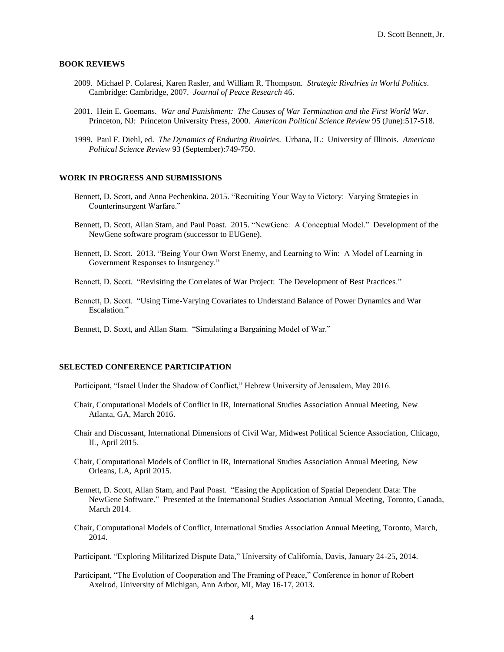# **BOOK REVIEWS**

- 2009. Michael P. Colaresi, Karen Rasler, and William R. Thompson. *Strategic Rivalries in World Politics*. Cambridge: Cambridge, 2007. *Journal of Peace Research* 46.
- 2001. Hein E. Goemans. *War and Punishment: The Causes of War Termination and the First World War*. Princeton, NJ: Princeton University Press, 2000. *American Political Science Review* 95 (June):517-518*.*
- 1999. Paul F. Diehl, ed. *The Dynamics of Enduring Rivalries*. Urbana, IL: University of Illinois. *American Political Science Review* 93 (September):749-750.

# **WORK IN PROGRESS AND SUBMISSIONS**

- Bennett, D. Scott, and Anna Pechenkina. 2015. "Recruiting Your Way to Victory: Varying Strategies in Counterinsurgent Warfare."
- Bennett, D. Scott, Allan Stam, and Paul Poast. 2015. "NewGene: A Conceptual Model." Development of the NewGene software program (successor to EUGene).
- Bennett, D. Scott. 2013. "Being Your Own Worst Enemy, and Learning to Win: A Model of Learning in Government Responses to Insurgency."
- Bennett, D. Scott. "Revisiting the Correlates of War Project: The Development of Best Practices."
- Bennett, D. Scott. "Using Time-Varying Covariates to Understand Balance of Power Dynamics and War Escalation."
- Bennett, D. Scott, and Allan Stam. "Simulating a Bargaining Model of War."

# **SELECTED CONFERENCE PARTICIPATION**

Participant, "Israel Under the Shadow of Conflict," Hebrew University of Jerusalem, May 2016.

- Chair, Computational Models of Conflict in IR, International Studies Association Annual Meeting, New Atlanta, GA, March 2016.
- Chair and Discussant, International Dimensions of Civil War, Midwest Political Science Association, Chicago, IL, April 2015.
- Chair, Computational Models of Conflict in IR, International Studies Association Annual Meeting, New Orleans, LA, April 2015.
- Bennett, D. Scott, Allan Stam, and Paul Poast. "Easing the Application of Spatial Dependent Data: The NewGene Software." Presented at the International Studies Association Annual Meeting, Toronto, Canada, March 2014.
- Chair, Computational Models of Conflict, International Studies Association Annual Meeting, Toronto, March, 2014.

Participant, "Exploring Militarized Dispute Data," University of California, Davis, January 24-25, 2014.

Participant, "The Evolution of Cooperation and The Framing of Peace," Conference in honor of Robert Axelrod, University of Michigan, Ann Arbor, MI, May 16-17, 2013.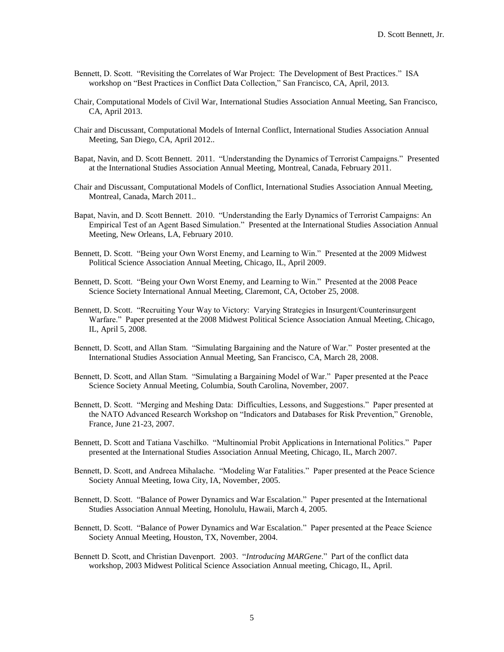- Bennett, D. Scott. "Revisiting the Correlates of War Project: The Development of Best Practices." ISA workshop on "Best Practices in Conflict Data Collection," San Francisco, CA, April, 2013.
- Chair, Computational Models of Civil War, International Studies Association Annual Meeting, San Francisco, CA, April 2013.
- Chair and Discussant, Computational Models of Internal Conflict, International Studies Association Annual Meeting, San Diego, CA, April 2012..
- Bapat, Navin, and D. Scott Bennett. 2011. "Understanding the Dynamics of Terrorist Campaigns." Presented at the International Studies Association Annual Meeting, Montreal, Canada, February 2011.
- Chair and Discussant, Computational Models of Conflict, International Studies Association Annual Meeting, Montreal, Canada, March 2011..
- Bapat, Navin, and D. Scott Bennett. 2010. "Understanding the Early Dynamics of Terrorist Campaigns: An Empirical Test of an Agent Based Simulation." Presented at the International Studies Association Annual Meeting, New Orleans, LA, February 2010.
- Bennett, D. Scott. "Being your Own Worst Enemy, and Learning to Win." Presented at the 2009 Midwest Political Science Association Annual Meeting, Chicago, IL, April 2009.
- Bennett, D. Scott. "Being your Own Worst Enemy, and Learning to Win." Presented at the 2008 Peace Science Society International Annual Meeting, Claremont, CA, October 25, 2008.
- Bennett, D. Scott. "Recruiting Your Way to Victory: Varying Strategies in Insurgent/Counterinsurgent Warfare." Paper presented at the 2008 Midwest Political Science Association Annual Meeting, Chicago, IL, April 5, 2008.
- Bennett, D. Scott, and Allan Stam. "Simulating Bargaining and the Nature of War." Poster presented at the International Studies Association Annual Meeting, San Francisco, CA, March 28, 2008.
- Bennett, D. Scott, and Allan Stam. "Simulating a Bargaining Model of War." Paper presented at the Peace Science Society Annual Meeting, Columbia, South Carolina, November, 2007.
- Bennett, D. Scott. "Merging and Meshing Data: Difficulties, Lessons, and Suggestions." Paper presented at the NATO Advanced Research Workshop on "Indicators and Databases for Risk Prevention," Grenoble, France, June 21-23, 2007.
- Bennett, D. Scott and Tatiana Vaschilko. "Multinomial Probit Applications in International Politics." Paper presented at the International Studies Association Annual Meeting, Chicago, IL, March 2007.
- Bennett, D. Scott, and Andreea Mihalache. "Modeling War Fatalities." Paper presented at the Peace Science Society Annual Meeting, Iowa City, IA, November, 2005.
- Bennett, D. Scott. "Balance of Power Dynamics and War Escalation." Paper presented at the International Studies Association Annual Meeting, Honolulu, Hawaii, March 4, 2005.
- Bennett, D. Scott. "Balance of Power Dynamics and War Escalation." Paper presented at the Peace Science Society Annual Meeting, Houston, TX, November, 2004.
- Bennett D. Scott, and Christian Davenport. 2003. "*Introducing MARGene*." Part of the conflict data workshop, 2003 Midwest Political Science Association Annual meeting, Chicago, IL, April.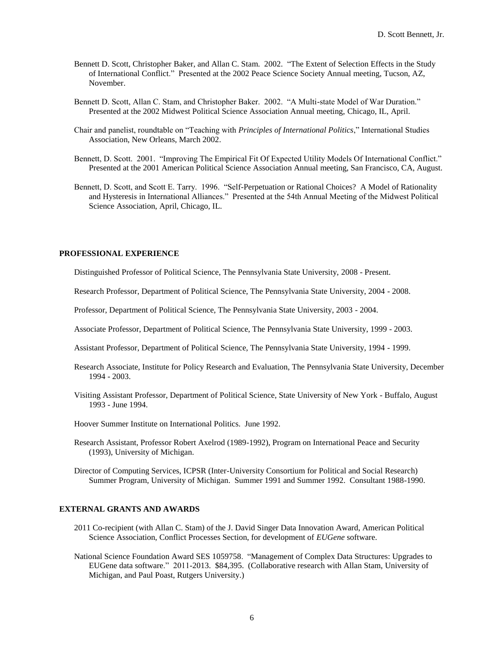- Bennett D. Scott, Christopher Baker, and Allan C. Stam. 2002. "The Extent of Selection Effects in the Study of International Conflict." Presented at the 2002 Peace Science Society Annual meeting, Tucson, AZ, November.
- Bennett D. Scott, Allan C. Stam, and Christopher Baker. 2002. "A Multi-state Model of War Duration." Presented at the 2002 Midwest Political Science Association Annual meeting, Chicago, IL, April.
- Chair and panelist, roundtable on "Teaching with *Principles of International Politics*," International Studies Association, New Orleans, March 2002.
- Bennett, D. Scott. 2001. "Improving The Empirical Fit Of Expected Utility Models Of International Conflict." Presented at the 2001 American Political Science Association Annual meeting, San Francisco, CA, August.
- Bennett, D. Scott, and Scott E. Tarry. 1996. "Self-Perpetuation or Rational Choices? A Model of Rationality and Hysteresis in International Alliances." Presented at the 54th Annual Meeting of the Midwest Political Science Association, April, Chicago, IL.

# **PROFESSIONAL EXPERIENCE**

Distinguished Professor of Political Science, The Pennsylvania State University, 2008 - Present.

Research Professor, Department of Political Science, The Pennsylvania State University, 2004 - 2008.

Professor, Department of Political Science, The Pennsylvania State University, 2003 - 2004.

Associate Professor, Department of Political Science, The Pennsylvania State University, 1999 - 2003.

Assistant Professor, Department of Political Science, The Pennsylvania State University, 1994 - 1999.

- Research Associate, Institute for Policy Research and Evaluation, The Pennsylvania State University, December 1994 - 2003.
- Visiting Assistant Professor, Department of Political Science, State University of New York Buffalo, August 1993 - June 1994.

Hoover Summer Institute on International Politics. June 1992.

Research Assistant, Professor Robert Axelrod (1989-1992), Program on International Peace and Security (1993), University of Michigan.

Director of Computing Services, ICPSR (Inter-University Consortium for Political and Social Research) Summer Program, University of Michigan. Summer 1991 and Summer 1992. Consultant 1988-1990.

# **EXTERNAL GRANTS AND AWARDS**

- 2011 Co-recipient (with Allan C. Stam) of the J. David Singer Data Innovation Award, American Political Science Association, Conflict Processes Section, for development of *EUGene* software.
- National Science Foundation Award SES 1059758. "Management of Complex Data Structures: Upgrades to EUGene data software." 2011-2013. \$84,395. (Collaborative research with Allan Stam, University of Michigan, and Paul Poast, Rutgers University.)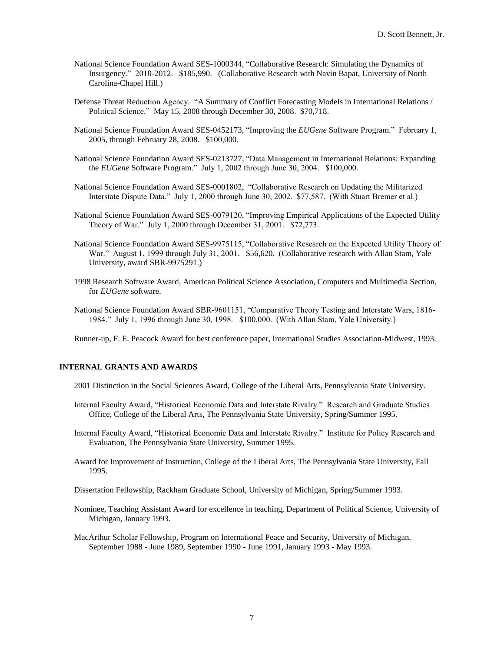- National Science Foundation Award SES-1000344, "Collaborative Research: Simulating the Dynamics of Insurgency." 2010-2012. \$185,990. (Collaborative Research with Navin Bapat, University of North Carolina-Chapel Hill.)
- Defense Threat Reduction Agency. "A Summary of Conflict Forecasting Models in International Relations / Political Science." May 15, 2008 through December 30, 2008. \$70,718.
- National Science Foundation Award SES-0452173, "Improving the *EUGene* Software Program." February 1, 2005, through February 28, 2008. \$100,000.
- National Science Foundation Award SES-0213727, "Data Management in International Relations: Expanding the *EUGene* Software Program." July 1, 2002 through June 30, 2004. \$100,000.
- National Science Foundation Award SES-0001802, "Collaborative Research on Updating the Militarized Interstate Dispute Data." July 1, 2000 through June 30, 2002. \$77,587. (With Stuart Bremer et al.)
- National Science Foundation Award SES-0079120, "Improving Empirical Applications of the Expected Utility Theory of War." July 1, 2000 through December 31, 2001. \$72,773.
- National Science Foundation Award SES-9975115, "Collaborative Research on the Expected Utility Theory of War." August 1, 1999 through July 31, 2001. \$56,620. (Collaborative research with Allan Stam, Yale University, award SBR-9975291.)
- 1998 Research Software Award, American Political Science Association, Computers and Multimedia Section, for *EUGene* software.
- National Science Foundation Award SBR-9601151, "Comparative Theory Testing and Interstate Wars, 1816- 1984." July 1, 1996 through June 30, 1998. \$100,000. (With Allan Stam, Yale University.)

Runner-up, F. E. Peacock Award for best conference paper, International Studies Association-Midwest, 1993.

# **INTERNAL GRANTS AND AWARDS**

- 2001 Distinction in the Social Sciences Award, College of the Liberal Arts, Pennsylvania State University.
- Internal Faculty Award, "Historical Economic Data and Interstate Rivalry." Research and Graduate Studies Office, College of the Liberal Arts, The Pennsylvania State University, Spring/Summer 1995.
- Internal Faculty Award, "Historical Economic Data and Interstate Rivalry." Institute for Policy Research and Evaluation, The Pennsylvania State University, Summer 1995.
- Award for Improvement of Instruction, College of the Liberal Arts, The Pennsylvania State University, Fall 1995.

Dissertation Fellowship, Rackham Graduate School, University of Michigan, Spring/Summer 1993.

- Nominee, Teaching Assistant Award for excellence in teaching, Department of Political Science, University of Michigan, January 1993.
- MacArthur Scholar Fellowship, Program on International Peace and Security, University of Michigan, September 1988 - June 1989, September 1990 - June 1991, January 1993 - May 1993.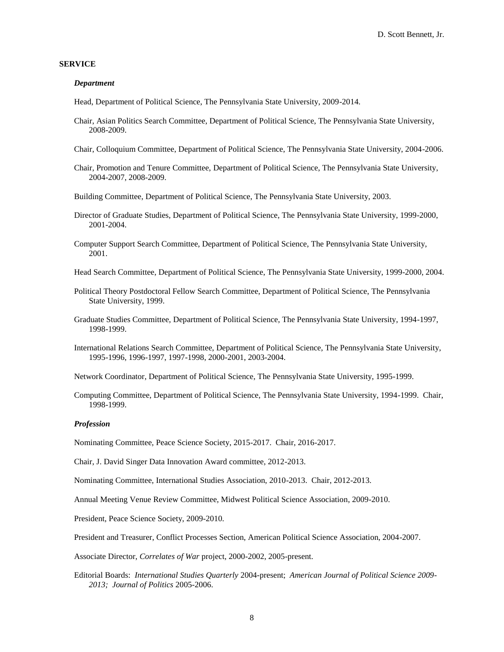### **SERVICE**

#### *Department*

Head, Department of Political Science, The Pennsylvania State University, 2009-2014.

- Chair, Asian Politics Search Committee, Department of Political Science, The Pennsylvania State University, 2008-2009.
- Chair, Colloquium Committee, Department of Political Science, The Pennsylvania State University, 2004-2006.
- Chair, Promotion and Tenure Committee, Department of Political Science, The Pennsylvania State University, 2004-2007, 2008-2009.
- Building Committee, Department of Political Science, The Pennsylvania State University, 2003.
- Director of Graduate Studies, Department of Political Science, The Pennsylvania State University, 1999-2000, 2001-2004.
- Computer Support Search Committee, Department of Political Science, The Pennsylvania State University, 2001.

Head Search Committee, Department of Political Science, The Pennsylvania State University, 1999-2000, 2004.

- Political Theory Postdoctoral Fellow Search Committee, Department of Political Science, The Pennsylvania State University, 1999.
- Graduate Studies Committee, Department of Political Science, The Pennsylvania State University, 1994-1997, 1998-1999.
- International Relations Search Committee, Department of Political Science, The Pennsylvania State University, 1995-1996, 1996-1997, 1997-1998, 2000-2001, 2003-2004.

Network Coordinator, Department of Political Science, The Pennsylvania State University, 1995-1999.

Computing Committee, Department of Political Science, The Pennsylvania State University, 1994-1999. Chair, 1998-1999.

#### *Profession*

Nominating Committee, Peace Science Society, 2015-2017. Chair, 2016-2017.

Chair, J. David Singer Data Innovation Award committee, 2012-2013.

Nominating Committee, International Studies Association, 2010-2013. Chair, 2012-2013.

Annual Meeting Venue Review Committee, Midwest Political Science Association, 2009-2010.

President, Peace Science Society, 2009-2010.

President and Treasurer, Conflict Processes Section, American Political Science Association, 2004-2007.

Associate Director, *Correlates of War* project, 2000-2002, 2005-present.

Editorial Boards: *International Studies Quarterly* 2004-present; *American Journal of Political Science 2009- 2013; Journal of Politics* 2005-2006.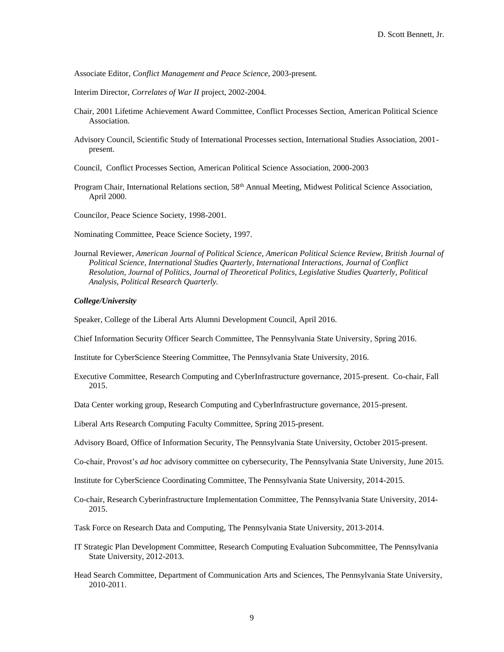Associate Editor, *Conflict Management and Peace Science*, 2003-present*.*

Interim Director, *Correlates of War II* project, 2002-2004.

- Chair, 2001 Lifetime Achievement Award Committee, Conflict Processes Section, American Political Science Association.
- Advisory Council, Scientific Study of International Processes section, International Studies Association, 2001 present.
- Council, Conflict Processes Section, American Political Science Association, 2000-2003
- Program Chair, International Relations section, 58<sup>th</sup> Annual Meeting, Midwest Political Science Association, April 2000.

Councilor, Peace Science Society, 1998-2001.

Nominating Committee, Peace Science Society, 1997.

Journal Reviewer, *American Journal of Political Science, American Political Science Review, British Journal of Political Science, International Studies Quarterly, International Interactions, Journal of Conflict Resolution, Journal of Politics, Journal of Theoretical Politics, Legislative Studies Quarterly, Political Analysis, Political Research Quarterly.*

### *College/University*

Speaker, College of the Liberal Arts Alumni Development Council, April 2016.

Chief Information Security Officer Search Committee, The Pennsylvania State University, Spring 2016.

Institute for CyberScience Steering Committee, The Pennsylvania State University, 2016.

Executive Committee, Research Computing and CyberInfrastructure governance, 2015-present. Co-chair, Fall 2015.

Data Center working group, Research Computing and CyberInfrastructure governance, 2015-present.

Liberal Arts Research Computing Faculty Committee, Spring 2015-present.

Advisory Board, Office of Information Security, The Pennsylvania State University, October 2015-present.

Co-chair, Provost's *ad hoc* advisory committee on cybersecurity, The Pennsylvania State University, June 2015.

Institute for CyberScience Coordinating Committee, The Pennsylvania State University, 2014-2015.

Co-chair, Research Cyberinfrastructure Implementation Committee, The Pennsylvania State University, 2014- 2015.

Task Force on Research Data and Computing, The Pennsylvania State University, 2013-2014.

- IT Strategic Plan Development Committee, Research Computing Evaluation Subcommittee, The Pennsylvania State University, 2012-2013.
- Head Search Committee, Department of Communication Arts and Sciences, The Pennsylvania State University, 2010-2011.